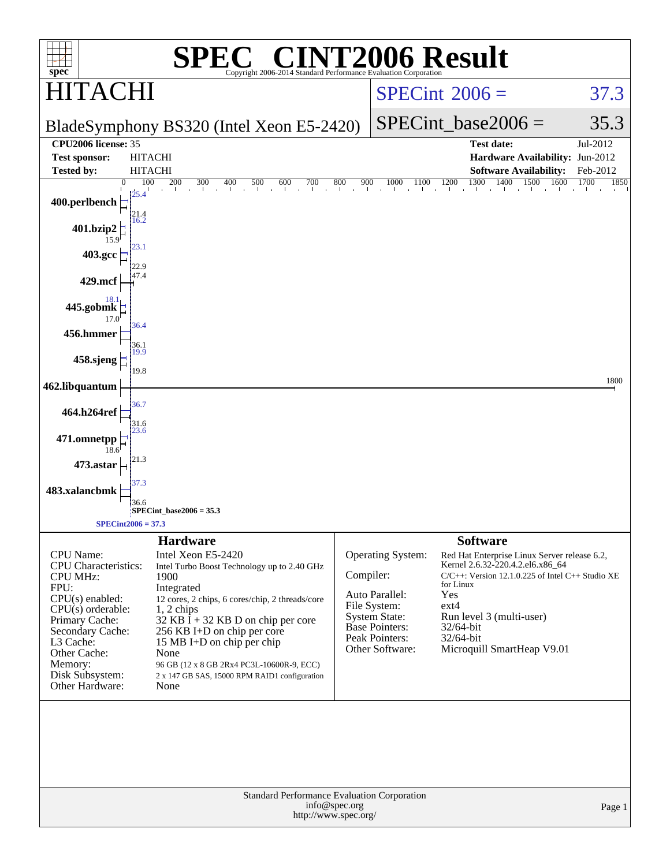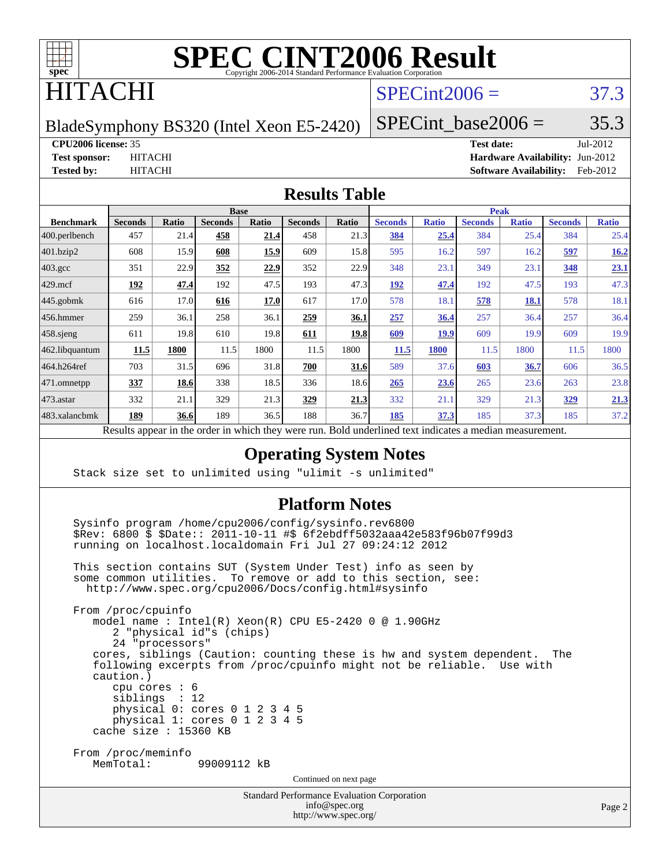

### ITACHI

#### $SPECint2006 = 37.3$  $SPECint2006 = 37.3$

BladeSymphony BS320 (Intel Xeon E5-2420)

SPECint base2006 =  $35.3$ 

#### **[CPU2006 license:](http://www.spec.org/auto/cpu2006/Docs/result-fields.html#CPU2006license)** 35 **[Test date:](http://www.spec.org/auto/cpu2006/Docs/result-fields.html#Testdate)** Jul-2012

**[Test sponsor:](http://www.spec.org/auto/cpu2006/Docs/result-fields.html#Testsponsor)** HITACHI **[Hardware Availability:](http://www.spec.org/auto/cpu2006/Docs/result-fields.html#HardwareAvailability)** Jun-2012 **[Tested by:](http://www.spec.org/auto/cpu2006/Docs/result-fields.html#Testedby)** HITACHI **[Software Availability:](http://www.spec.org/auto/cpu2006/Docs/result-fields.html#SoftwareAvailability)** Feb-2012

#### **[Results Table](http://www.spec.org/auto/cpu2006/Docs/result-fields.html#ResultsTable)**

|                   | <b>Base</b>    |       |                |             |                | <b>Peak</b> |                               |              |                |              |                |              |
|-------------------|----------------|-------|----------------|-------------|----------------|-------------|-------------------------------|--------------|----------------|--------------|----------------|--------------|
| <b>Benchmark</b>  | <b>Seconds</b> | Ratio | <b>Seconds</b> | Ratio       | <b>Seconds</b> | Ratio       | <b>Seconds</b>                | <b>Ratio</b> | <b>Seconds</b> | <b>Ratio</b> | <b>Seconds</b> | <b>Ratio</b> |
| $ 400$ .perlbench | 457            | 21.4  | 458            | 21.4        | 458            | 21.3        | 384                           | 25.4         | 384            | 25.4         | 384            | 25.4         |
| 401.bzip2         | 608            | 15.9  | 608            | 15.9        | 609            | 15.8        | 595                           | 16.2         | 597            | 16.2         | 597            | 16.2         |
| $403.\text{gcc}$  | 351            | 22.9  | 352            | <u>22.9</u> | 352            | 22.9        | 348                           | 23.1         | 349            | 23.1         | 348            | 23.1         |
| $429$ mcf         | 192            | 47.4  | 192            | 47.5        | 193            | 47.3        | 192                           | 47.4         | 192            | 47.5         | 193            | 47.3         |
| $445$ .gobmk      | 616            | 17.0  | 616            | 17.0        | 617            | 17.0        | 578                           | 18.1         | 578            | 18.1         | 578            | 18.1         |
| $ 456$ .hmmer     | 259            | 36.1  | 258            | 36.1        | 259            | 36.1        | 257                           | 36.4         | 257            | 36.4         | 257            | 36.4         |
| $458$ .sjeng      | 611            | 19.8  | 610            | 19.8        | 611            | 19.8        | 609                           | 19.9         | 609            | 19.9         | 609            | 19.9         |
| 462.libquantum    | 11.5           | 1800  | 11.5           | 1800        | 11.5           | 1800        | 11.5                          | <b>1800</b>  | 11.5           | 1800         | 11.5           | 1800         |
| 464.h264ref       | 703            | 31.5  | 696            | 31.8        | 700            | 31.6        | 589                           | 37.6         | 603            | 36.7         | 606            | 36.5         |
| 471.omnetpp       | 337            | 18.6  | 338            | 18.5        | 336            | 18.6        | 265                           | 23.6         | 265            | 23.6         | 263            | 23.8         |
| $473.$ astar      | 332            | 21.1  | 329            | 21.3        | 329            | 21.3        | 332                           | 21.1         | 329            | 21.3         | 329            | 21.3         |
| 483.xalancbmk     | 189            | 36.6  | 189            | 36.5        | 188            | 36.7        | 185                           | 37.3         | 185            | 37.3         | 185            | 37.2         |
| n.                | $\mathbf{1}$   | .     |                | 1.1.1       |                | $n$ 11      | $1 \quad 1$<br>$\blacksquare$ | $\cdot$      |                |              |                |              |

Results appear in the [order in which they were run.](http://www.spec.org/auto/cpu2006/Docs/result-fields.html#RunOrder) Bold underlined text [indicates a median measurement.](http://www.spec.org/auto/cpu2006/Docs/result-fields.html#Median)

#### **[Operating System Notes](http://www.spec.org/auto/cpu2006/Docs/result-fields.html#OperatingSystemNotes)**

Stack size set to unlimited using "ulimit -s unlimited"

#### **[Platform Notes](http://www.spec.org/auto/cpu2006/Docs/result-fields.html#PlatformNotes)**

 Sysinfo program /home/cpu2006/config/sysinfo.rev6800 \$Rev: 6800 \$ \$Date:: 2011-10-11 #\$ 6f2ebdff5032aaa42e583f96b07f99d3 running on localhost.localdomain Fri Jul 27 09:24:12 2012

 This section contains SUT (System Under Test) info as seen by some common utilities. To remove or add to this section, see: <http://www.spec.org/cpu2006/Docs/config.html#sysinfo>

 From /proc/cpuinfo model name : Intel(R) Xeon(R) CPU E5-2420 0 @ 1.90GHz 2 "physical id"s (chips) 24 "processors" cores, siblings (Caution: counting these is hw and system dependent. The following excerpts from /proc/cpuinfo might not be reliable. Use with caution.) cpu cores : 6 siblings : 12 physical 0: cores 0 1 2 3 4 5 physical 1: cores 0 1 2 3 4 5 cache size : 15360 KB From /proc/meminfo MemTotal: 99009112 kB Continued on next page

> Standard Performance Evaluation Corporation [info@spec.org](mailto:info@spec.org)

```
http://www.spec.org/
```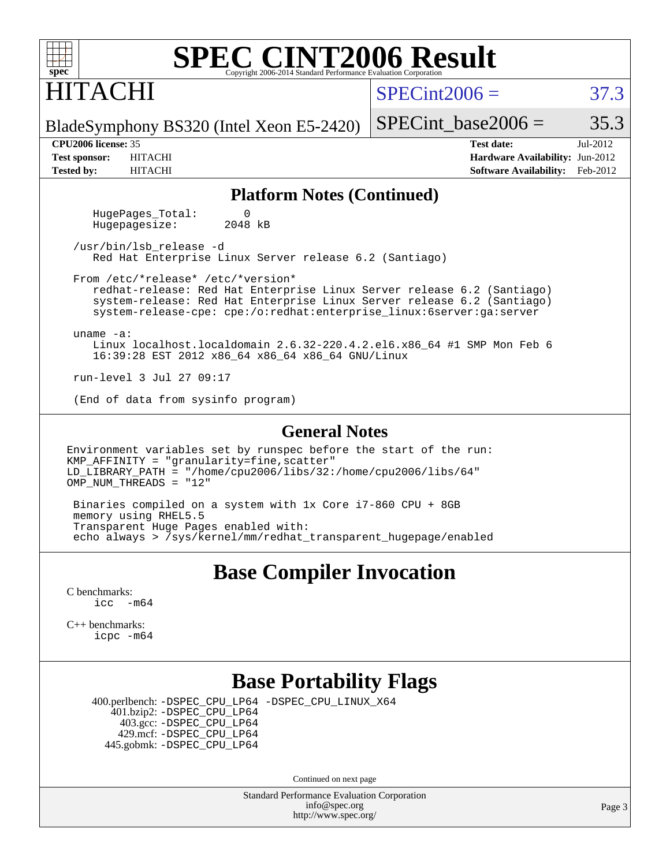### HITACHI

 $SPECint2006 = 37.3$  $SPECint2006 = 37.3$ 

BladeSymphony BS320 (Intel Xeon E5-2420)

**[Tested by:](http://www.spec.org/auto/cpu2006/Docs/result-fields.html#Testedby)** HITACHI **[Software Availability:](http://www.spec.org/auto/cpu2006/Docs/result-fields.html#SoftwareAvailability)** Feb-2012

SPECint base2006 =  $35.3$ **[CPU2006 license:](http://www.spec.org/auto/cpu2006/Docs/result-fields.html#CPU2006license)** 35 **[Test date:](http://www.spec.org/auto/cpu2006/Docs/result-fields.html#Testdate)** Jul-2012 **[Test sponsor:](http://www.spec.org/auto/cpu2006/Docs/result-fields.html#Testsponsor)** HITACHI **[Hardware Availability:](http://www.spec.org/auto/cpu2006/Docs/result-fields.html#HardwareAvailability)** Jun-2012

## **[Platform Notes \(Continued\)](http://www.spec.org/auto/cpu2006/Docs/result-fields.html#PlatformNotes)**

HugePages\_Total: 0<br>Hugepagesize: 2048 kB Hugepagesize:

 /usr/bin/lsb\_release -d Red Hat Enterprise Linux Server release 6.2 (Santiago)

 From /etc/\*release\* /etc/\*version\* redhat-release: Red Hat Enterprise Linux Server release 6.2 (Santiago)

 system-release: Red Hat Enterprise Linux Server release 6.2 (Santiago) system-release-cpe: cpe:/o:redhat:enterprise\_linux:6server:ga:server

uname -a:

 Linux localhost.localdomain 2.6.32-220.4.2.el6.x86\_64 #1 SMP Mon Feb 6 16:39:28 EST 2012 x86\_64 x86\_64 x86\_64 GNU/Linux

run-level 3 Jul 27 09:17

(End of data from sysinfo program)

#### **[General Notes](http://www.spec.org/auto/cpu2006/Docs/result-fields.html#GeneralNotes)**

Environment variables set by runspec before the start of the run: KMP\_AFFINITY = "granularity=fine,scatter" LD\_LIBRARY\_PATH = "/home/cpu2006/libs/32:/home/cpu2006/libs/64" OMP NUM THREADS =  $"12"$ 

 Binaries compiled on a system with 1x Core i7-860 CPU + 8GB memory using RHEL5.5 Transparent Huge Pages enabled with: echo always > /sys/kernel/mm/redhat\_transparent\_hugepage/enabled

#### **[Base Compiler Invocation](http://www.spec.org/auto/cpu2006/Docs/result-fields.html#BaseCompilerInvocation)**

[C benchmarks](http://www.spec.org/auto/cpu2006/Docs/result-fields.html#Cbenchmarks):  $\text{icc}$   $-\text{m64}$ 

[C++ benchmarks:](http://www.spec.org/auto/cpu2006/Docs/result-fields.html#CXXbenchmarks) [icpc -m64](http://www.spec.org/cpu2006/results/res2012q3/cpu2006-20120730-23976.flags.html#user_CXXbase_intel_icpc_64bit_fc66a5337ce925472a5c54ad6a0de310)

#### **[Base Portability Flags](http://www.spec.org/auto/cpu2006/Docs/result-fields.html#BasePortabilityFlags)**

 400.perlbench: [-DSPEC\\_CPU\\_LP64](http://www.spec.org/cpu2006/results/res2012q3/cpu2006-20120730-23976.flags.html#b400.perlbench_basePORTABILITY_DSPEC_CPU_LP64) [-DSPEC\\_CPU\\_LINUX\\_X64](http://www.spec.org/cpu2006/results/res2012q3/cpu2006-20120730-23976.flags.html#b400.perlbench_baseCPORTABILITY_DSPEC_CPU_LINUX_X64) 401.bzip2: [-DSPEC\\_CPU\\_LP64](http://www.spec.org/cpu2006/results/res2012q3/cpu2006-20120730-23976.flags.html#suite_basePORTABILITY401_bzip2_DSPEC_CPU_LP64) 403.gcc: [-DSPEC\\_CPU\\_LP64](http://www.spec.org/cpu2006/results/res2012q3/cpu2006-20120730-23976.flags.html#suite_basePORTABILITY403_gcc_DSPEC_CPU_LP64) 429.mcf: [-DSPEC\\_CPU\\_LP64](http://www.spec.org/cpu2006/results/res2012q3/cpu2006-20120730-23976.flags.html#suite_basePORTABILITY429_mcf_DSPEC_CPU_LP64) 445.gobmk: [-DSPEC\\_CPU\\_LP64](http://www.spec.org/cpu2006/results/res2012q3/cpu2006-20120730-23976.flags.html#suite_basePORTABILITY445_gobmk_DSPEC_CPU_LP64)

Continued on next page

Standard Performance Evaluation Corporation [info@spec.org](mailto:info@spec.org) <http://www.spec.org/>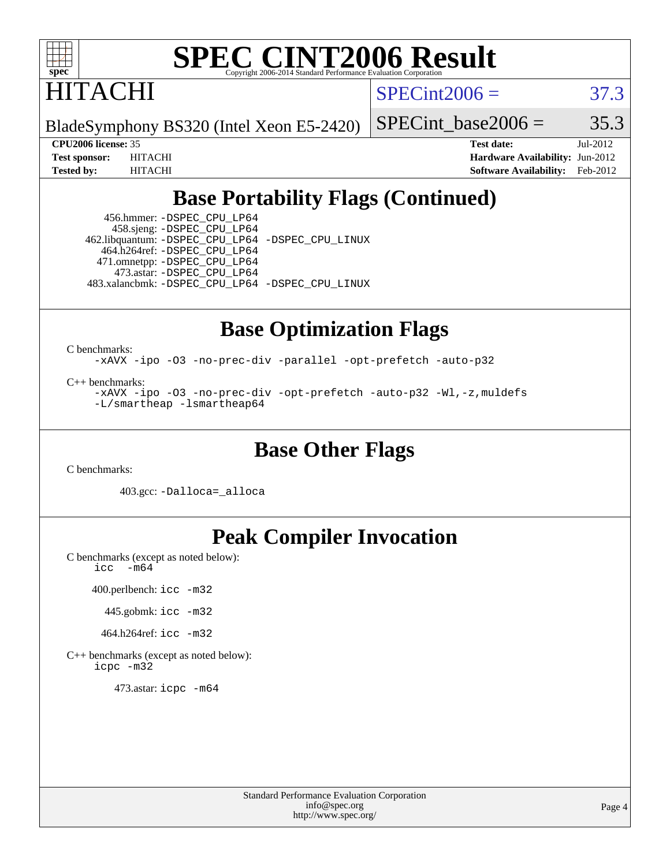

HITACHI

 $SPECint2006 = 37.3$  $SPECint2006 = 37.3$ 

BladeSymphony BS320 (Intel Xeon E5-2420)

SPECint base2006 =  $35.3$ 

**[CPU2006 license:](http://www.spec.org/auto/cpu2006/Docs/result-fields.html#CPU2006license)** 35 **[Test date:](http://www.spec.org/auto/cpu2006/Docs/result-fields.html#Testdate)** Jul-2012 **[Test sponsor:](http://www.spec.org/auto/cpu2006/Docs/result-fields.html#Testsponsor)** HITACHI **[Hardware Availability:](http://www.spec.org/auto/cpu2006/Docs/result-fields.html#HardwareAvailability)** Jun-2012 **[Tested by:](http://www.spec.org/auto/cpu2006/Docs/result-fields.html#Testedby)** HITACHI **[Software Availability:](http://www.spec.org/auto/cpu2006/Docs/result-fields.html#SoftwareAvailability)** Feb-2012

### **[Base Portability Flags \(Continued\)](http://www.spec.org/auto/cpu2006/Docs/result-fields.html#BasePortabilityFlags)**

 456.hmmer: [-DSPEC\\_CPU\\_LP64](http://www.spec.org/cpu2006/results/res2012q3/cpu2006-20120730-23976.flags.html#suite_basePORTABILITY456_hmmer_DSPEC_CPU_LP64) 458.sjeng: [-DSPEC\\_CPU\\_LP64](http://www.spec.org/cpu2006/results/res2012q3/cpu2006-20120730-23976.flags.html#suite_basePORTABILITY458_sjeng_DSPEC_CPU_LP64) 462.libquantum: [-DSPEC\\_CPU\\_LP64](http://www.spec.org/cpu2006/results/res2012q3/cpu2006-20120730-23976.flags.html#suite_basePORTABILITY462_libquantum_DSPEC_CPU_LP64) [-DSPEC\\_CPU\\_LINUX](http://www.spec.org/cpu2006/results/res2012q3/cpu2006-20120730-23976.flags.html#b462.libquantum_baseCPORTABILITY_DSPEC_CPU_LINUX) 464.h264ref: [-DSPEC\\_CPU\\_LP64](http://www.spec.org/cpu2006/results/res2012q3/cpu2006-20120730-23976.flags.html#suite_basePORTABILITY464_h264ref_DSPEC_CPU_LP64) 471.omnetpp: [-DSPEC\\_CPU\\_LP64](http://www.spec.org/cpu2006/results/res2012q3/cpu2006-20120730-23976.flags.html#suite_basePORTABILITY471_omnetpp_DSPEC_CPU_LP64) 473.astar: [-DSPEC\\_CPU\\_LP64](http://www.spec.org/cpu2006/results/res2012q3/cpu2006-20120730-23976.flags.html#suite_basePORTABILITY473_astar_DSPEC_CPU_LP64) 483.xalancbmk: [-DSPEC\\_CPU\\_LP64](http://www.spec.org/cpu2006/results/res2012q3/cpu2006-20120730-23976.flags.html#suite_basePORTABILITY483_xalancbmk_DSPEC_CPU_LP64) [-DSPEC\\_CPU\\_LINUX](http://www.spec.org/cpu2006/results/res2012q3/cpu2006-20120730-23976.flags.html#b483.xalancbmk_baseCXXPORTABILITY_DSPEC_CPU_LINUX)

#### **[Base Optimization Flags](http://www.spec.org/auto/cpu2006/Docs/result-fields.html#BaseOptimizationFlags)**

[C benchmarks](http://www.spec.org/auto/cpu2006/Docs/result-fields.html#Cbenchmarks):

[-xAVX](http://www.spec.org/cpu2006/results/res2012q3/cpu2006-20120730-23976.flags.html#user_CCbase_f-xAVX) [-ipo](http://www.spec.org/cpu2006/results/res2012q3/cpu2006-20120730-23976.flags.html#user_CCbase_f-ipo) [-O3](http://www.spec.org/cpu2006/results/res2012q3/cpu2006-20120730-23976.flags.html#user_CCbase_f-O3) [-no-prec-div](http://www.spec.org/cpu2006/results/res2012q3/cpu2006-20120730-23976.flags.html#user_CCbase_f-no-prec-div) [-parallel](http://www.spec.org/cpu2006/results/res2012q3/cpu2006-20120730-23976.flags.html#user_CCbase_f-parallel) [-opt-prefetch](http://www.spec.org/cpu2006/results/res2012q3/cpu2006-20120730-23976.flags.html#user_CCbase_f-opt-prefetch) [-auto-p32](http://www.spec.org/cpu2006/results/res2012q3/cpu2006-20120730-23976.flags.html#user_CCbase_f-auto-p32)

[C++ benchmarks:](http://www.spec.org/auto/cpu2006/Docs/result-fields.html#CXXbenchmarks)

[-xAVX](http://www.spec.org/cpu2006/results/res2012q3/cpu2006-20120730-23976.flags.html#user_CXXbase_f-xAVX) [-ipo](http://www.spec.org/cpu2006/results/res2012q3/cpu2006-20120730-23976.flags.html#user_CXXbase_f-ipo) [-O3](http://www.spec.org/cpu2006/results/res2012q3/cpu2006-20120730-23976.flags.html#user_CXXbase_f-O3) [-no-prec-div](http://www.spec.org/cpu2006/results/res2012q3/cpu2006-20120730-23976.flags.html#user_CXXbase_f-no-prec-div) [-opt-prefetch](http://www.spec.org/cpu2006/results/res2012q3/cpu2006-20120730-23976.flags.html#user_CXXbase_f-opt-prefetch) [-auto-p32](http://www.spec.org/cpu2006/results/res2012q3/cpu2006-20120730-23976.flags.html#user_CXXbase_f-auto-p32) [-Wl,-z,muldefs](http://www.spec.org/cpu2006/results/res2012q3/cpu2006-20120730-23976.flags.html#user_CXXbase_link_force_multiple1_74079c344b956b9658436fd1b6dd3a8a) [-L/smartheap -lsmartheap64](http://www.spec.org/cpu2006/results/res2012q3/cpu2006-20120730-23976.flags.html#user_CXXbase_SmartHeap64_5e654037dadeae1fe403ab4b4466e60b)

#### **[Base Other Flags](http://www.spec.org/auto/cpu2006/Docs/result-fields.html#BaseOtherFlags)**

[C benchmarks](http://www.spec.org/auto/cpu2006/Docs/result-fields.html#Cbenchmarks):

403.gcc: [-Dalloca=\\_alloca](http://www.spec.org/cpu2006/results/res2012q3/cpu2006-20120730-23976.flags.html#b403.gcc_baseEXTRA_CFLAGS_Dalloca_be3056838c12de2578596ca5467af7f3)

### **[Peak Compiler Invocation](http://www.spec.org/auto/cpu2006/Docs/result-fields.html#PeakCompilerInvocation)**

[C benchmarks \(except as noted below\)](http://www.spec.org/auto/cpu2006/Docs/result-fields.html#Cbenchmarksexceptasnotedbelow): [icc -m64](http://www.spec.org/cpu2006/results/res2012q3/cpu2006-20120730-23976.flags.html#user_CCpeak_intel_icc_64bit_f346026e86af2a669e726fe758c88044)

400.perlbench: [icc -m32](http://www.spec.org/cpu2006/results/res2012q3/cpu2006-20120730-23976.flags.html#user_peakCCLD400_perlbench_intel_icc_a6a621f8d50482236b970c6ac5f55f93)

445.gobmk: [icc -m32](http://www.spec.org/cpu2006/results/res2012q3/cpu2006-20120730-23976.flags.html#user_peakCCLD445_gobmk_intel_icc_a6a621f8d50482236b970c6ac5f55f93)

464.h264ref: [icc -m32](http://www.spec.org/cpu2006/results/res2012q3/cpu2006-20120730-23976.flags.html#user_peakCCLD464_h264ref_intel_icc_a6a621f8d50482236b970c6ac5f55f93)

[C++ benchmarks \(except as noted below\):](http://www.spec.org/auto/cpu2006/Docs/result-fields.html#CXXbenchmarksexceptasnotedbelow) [icpc -m32](http://www.spec.org/cpu2006/results/res2012q3/cpu2006-20120730-23976.flags.html#user_CXXpeak_intel_icpc_4e5a5ef1a53fd332b3c49e69c3330699)

473.astar: [icpc -m64](http://www.spec.org/cpu2006/results/res2012q3/cpu2006-20120730-23976.flags.html#user_peakCXXLD473_astar_intel_icpc_64bit_fc66a5337ce925472a5c54ad6a0de310)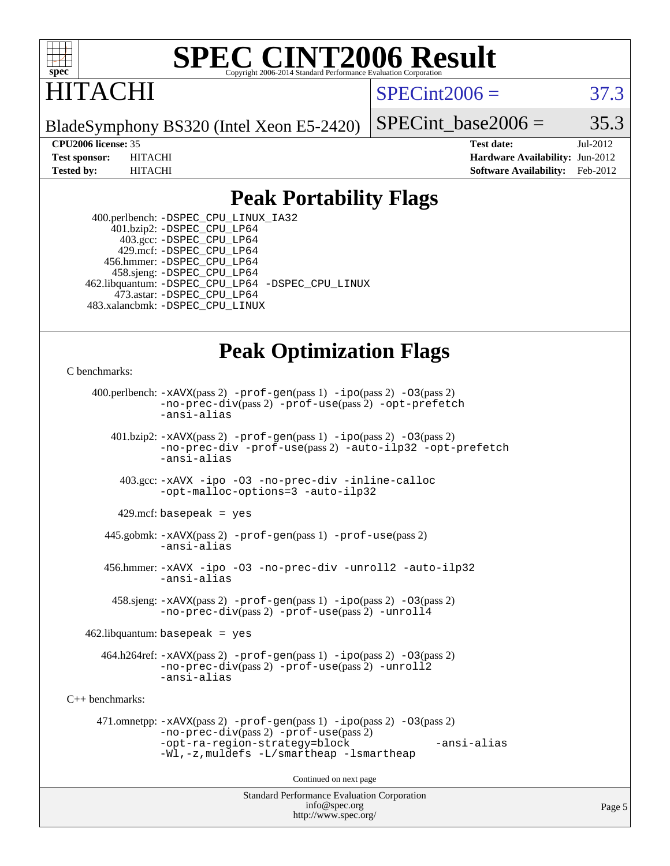

### ITACHI

 $SPECint2006 = 37.3$  $SPECint2006 = 37.3$ 

BladeSymphony BS320 (Intel Xeon E5-2420)

SPECint base2006 =  $35.3$ 

**[CPU2006 license:](http://www.spec.org/auto/cpu2006/Docs/result-fields.html#CPU2006license)** 35 **[Test date:](http://www.spec.org/auto/cpu2006/Docs/result-fields.html#Testdate)** Jul-2012 **[Test sponsor:](http://www.spec.org/auto/cpu2006/Docs/result-fields.html#Testsponsor)** HITACHI **[Hardware Availability:](http://www.spec.org/auto/cpu2006/Docs/result-fields.html#HardwareAvailability)** Jun-2012 **[Tested by:](http://www.spec.org/auto/cpu2006/Docs/result-fields.html#Testedby)** HITACHI **[Software Availability:](http://www.spec.org/auto/cpu2006/Docs/result-fields.html#SoftwareAvailability)** Feb-2012

#### **[Peak Portability Flags](http://www.spec.org/auto/cpu2006/Docs/result-fields.html#PeakPortabilityFlags)**

 400.perlbench: [-DSPEC\\_CPU\\_LINUX\\_IA32](http://www.spec.org/cpu2006/results/res2012q3/cpu2006-20120730-23976.flags.html#b400.perlbench_peakCPORTABILITY_DSPEC_CPU_LINUX_IA32) 401.bzip2: [-DSPEC\\_CPU\\_LP64](http://www.spec.org/cpu2006/results/res2012q3/cpu2006-20120730-23976.flags.html#suite_peakPORTABILITY401_bzip2_DSPEC_CPU_LP64) 403.gcc: [-DSPEC\\_CPU\\_LP64](http://www.spec.org/cpu2006/results/res2012q3/cpu2006-20120730-23976.flags.html#suite_peakPORTABILITY403_gcc_DSPEC_CPU_LP64) 429.mcf: [-DSPEC\\_CPU\\_LP64](http://www.spec.org/cpu2006/results/res2012q3/cpu2006-20120730-23976.flags.html#suite_peakPORTABILITY429_mcf_DSPEC_CPU_LP64) 456.hmmer: [-DSPEC\\_CPU\\_LP64](http://www.spec.org/cpu2006/results/res2012q3/cpu2006-20120730-23976.flags.html#suite_peakPORTABILITY456_hmmer_DSPEC_CPU_LP64) 458.sjeng: [-DSPEC\\_CPU\\_LP64](http://www.spec.org/cpu2006/results/res2012q3/cpu2006-20120730-23976.flags.html#suite_peakPORTABILITY458_sjeng_DSPEC_CPU_LP64) 462.libquantum: [-DSPEC\\_CPU\\_LP64](http://www.spec.org/cpu2006/results/res2012q3/cpu2006-20120730-23976.flags.html#suite_peakPORTABILITY462_libquantum_DSPEC_CPU_LP64) [-DSPEC\\_CPU\\_LINUX](http://www.spec.org/cpu2006/results/res2012q3/cpu2006-20120730-23976.flags.html#b462.libquantum_peakCPORTABILITY_DSPEC_CPU_LINUX) 473.astar: [-DSPEC\\_CPU\\_LP64](http://www.spec.org/cpu2006/results/res2012q3/cpu2006-20120730-23976.flags.html#suite_peakPORTABILITY473_astar_DSPEC_CPU_LP64) 483.xalancbmk: [-DSPEC\\_CPU\\_LINUX](http://www.spec.org/cpu2006/results/res2012q3/cpu2006-20120730-23976.flags.html#b483.xalancbmk_peakCXXPORTABILITY_DSPEC_CPU_LINUX)

### **[Peak Optimization Flags](http://www.spec.org/auto/cpu2006/Docs/result-fields.html#PeakOptimizationFlags)**

[C benchmarks](http://www.spec.org/auto/cpu2006/Docs/result-fields.html#Cbenchmarks):

```
Standard Performance Evaluation Corporation
                                          info@spec.org
     400.perlbench: -xAVX(pass 2) -prof-gen(pass 1) -ipo(pass 2) -O3(pass 2)
                -no-prec-div(pass 2) -prof-use(pass 2) -opt-prefetch
                -ansi-alias
        401.bzip2: -xAVX(pass 2) -prof-gen(pass 1) -ipo(pass 2) -O3(pass 2)
                -no-prec-div -prof-use(pass 2) -auto-ilp32 -opt-prefetch
                -ansi-alias
          403.gcc: -xAVX -ipo -O3 -no-prec-div -inline-calloc
                -opt-malloc-options=3 -auto-ilp32
         429.mcf: basepeak = yes
       445.gobmk: -xAVX(pass 2) -prof-gen(pass 1) -prof-use(pass 2)
                -ansi-alias
       456.hmmer: -xAVX -ipo -O3 -no-prec-div -unroll2 -auto-ilp32
                -ansi-alias
         458.sjeng: -xAVX(pass 2) -prof-gen(pass 1) -ipo(pass 2) -O3(pass 2)
                -no-prec-div(pass 2) -prof-use(pass 2) -unroll4
    462.libquantum: basepeak = yes
       464.h264ref: -xAVX(pass 2) -prof-gen(pass 1) -ipo(pass 2) -O3(pass 2)
                -no-prec-div(pass 2) -prof-use(pass 2) -unroll2
                -ansi-alias
C++ benchmarks: 
      471.omnetpp: -xAVX(pass 2) -prof-gen(pass 1) -ipo(pass 2) -O3(pass 2)
                -no-prec-div(pass 2) -prof-use(pass 2)
                -opt-ra-region-strategy=block -ansi-alias
                -Wl,-z,muldefs -L/smartheap -lsmartheap
                                        Continued on next page
```
<http://www.spec.org/>